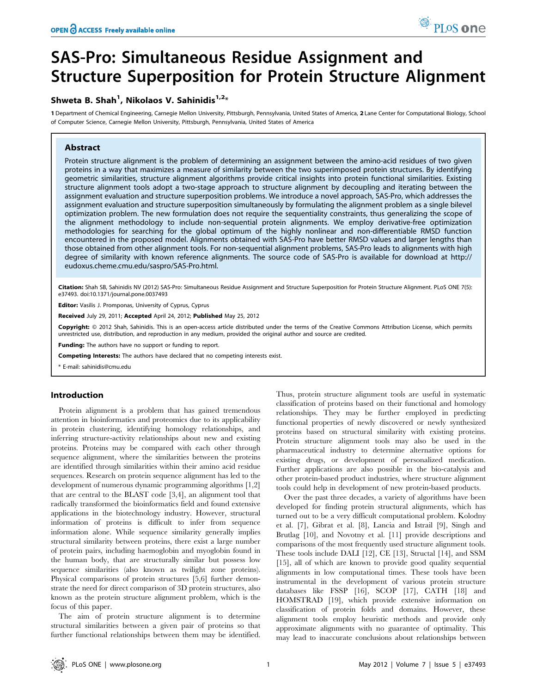# SAS-Pro: Simultaneous Residue Assignment and Structure Superposition for Protein Structure Alignment

### Shweta B. Shah<sup>1</sup>, Nikolaos V. Sahinidis $^{1,2_\times}$

1 Department of Chemical Engineering, Carnegie Mellon University, Pittsburgh, Pennsylvania, United States of America, 2 Lane Center for Computational Biology, School of Computer Science, Carnegie Mellon University, Pittsburgh, Pennsylvania, United States of America

### Abstract

Protein structure alignment is the problem of determining an assignment between the amino-acid residues of two given proteins in a way that maximizes a measure of similarity between the two superimposed protein structures. By identifying geometric similarities, structure alignment algorithms provide critical insights into protein functional similarities. Existing structure alignment tools adopt a two-stage approach to structure alignment by decoupling and iterating between the assignment evaluation and structure superposition problems. We introduce a novel approach, SAS-Pro, which addresses the assignment evaluation and structure superposition simultaneously by formulating the alignment problem as a single bilevel optimization problem. The new formulation does not require the sequentiality constraints, thus generalizing the scope of the alignment methodology to include non-sequential protein alignments. We employ derivative-free optimization methodologies for searching for the global optimum of the highly nonlinear and non-differentiable RMSD function encountered in the proposed model. Alignments obtained with SAS-Pro have better RMSD values and larger lengths than those obtained from other alignment tools. For non-sequential alignment problems, SAS-Pro leads to alignments with high degree of similarity with known reference alignments. The source code of SAS-Pro is available for download at http:// eudoxus.cheme.cmu.edu/saspro/SAS-Pro.html.

Citation: Shah SB, Sahinidis NV (2012) SAS-Pro: Simultaneous Residue Assignment and Structure Superposition for Protein Structure Alignment. PLoS ONE 7(5): e37493. doi:10.1371/journal.pone.0037493

Editor: Vasilis J. Promponas, University of Cyprus, Cyprus

Received July 29, 2011; Accepted April 24, 2012; Published May 25, 2012

Copyright: © 2012 Shah, Sahinidis. This is an open-access article distributed under the terms of the Creative Commons Attribution License, which permits unrestricted use, distribution, and reproduction in any medium, provided the original author and source are credited.

Funding: The authors have no support or funding to report.

Competing Interests: The authors have declared that no competing interests exist.

\* E-mail: sahinidis@cmu.edu

### Introduction

Protein alignment is a problem that has gained tremendous attention in bioinformatics and proteomics due to its applicability in protein clustering, identifying homology relationships, and inferring structure-activity relationships about new and existing proteins. Proteins may be compared with each other through sequence alignment, where the similarities between the proteins are identified through similarities within their amino acid residue sequences. Research on protein sequence alignment has led to the development of numerous dynamic programming algorithms [1,2] that are central to the BLAST code [3,4], an alignment tool that radically transformed the bioinformatics field and found extensive applications in the biotechnology industry. However, structural information of proteins is difficult to infer from sequence information alone. While sequence similarity generally implies structural similarity between proteins, there exist a large number of protein pairs, including haemoglobin and myoglobin found in the human body, that are structurally similar but possess low sequence similarities (also known as twilight zone proteins). Physical comparisons of protein structures [5,6] further demonstrate the need for direct comparison of 3D protein structures, also known as the protein structure alignment problem, which is the focus of this paper.

The aim of protein structure alignment is to determine structural similarities between a given pair of proteins so that further functional relationships between them may be identified. Thus, protein structure alignment tools are useful in systematic classification of proteins based on their functional and homology relationships. They may be further employed in predicting functional properties of newly discovered or newly synthesized proteins based on structural similarity with existing proteins. Protein structure alignment tools may also be used in the pharmaceutical industry to determine alternative options for existing drugs, or development of personalized medication. Further applications are also possible in the bio-catalysis and other protein-based product industries, where structure alignment tools could help in development of new protein-based products.

<sup>O</sup> PLoS one

Over the past three decades, a variety of algorithms have been developed for finding protein structural alignments, which has turned out to be a very difficult computational problem. Kolodny et al. [7], Gibrat et al. [8], Lancia and Istrail [9], Singh and Brutlag [10], and Novotny et al. [11] provide descriptions and comparisons of the most frequently used structure alignment tools. These tools include DALI [12], CE [13], Structal [14], and SSM [15], all of which are known to provide good quality sequential alignments in low computational times. These tools have been instrumental in the development of various protein structure databases like FSSP [16], SCOP [17], CATH [18] and HOMSTRAD [19], which provide extensive information on classification of protein folds and domains. However, these alignment tools employ heuristic methods and provide only approximate alignments with no guarantee of optimality. This may lead to inaccurate conclusions about relationships between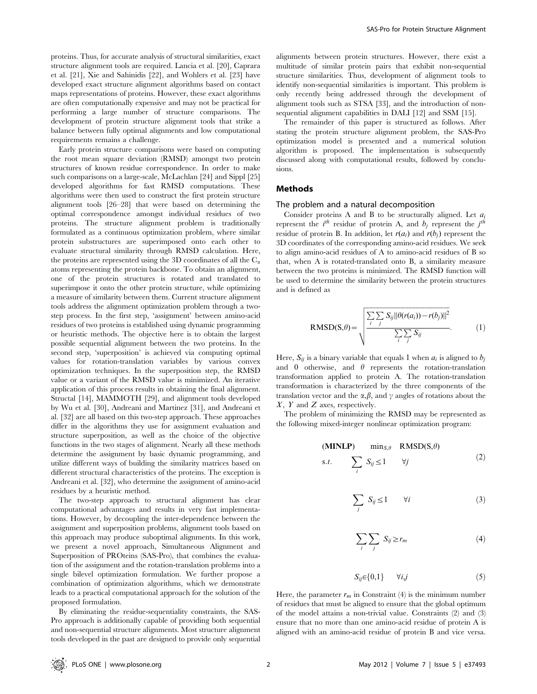proteins. Thus, for accurate analysis of structural similarities, exact structure alignment tools are required. Lancia et al. [20], Caprara et al. [21], Xie and Sahinidis [22], and Wohlers et al. [23] have developed exact structure alignment algorithms based on contact maps representations of proteins. However, these exact algorithms are often computationally expensive and may not be practical for performing a large number of structure comparisons. The development of protein structure alignment tools that strike a balance between fully optimal alignments and low computational requirements remains a challenge.

Early protein structure comparisons were based on computing the root mean square deviation (RMSD) amongst two protein structures of known residue correspondence. In order to make such comparisons on a large-scale, McLachlan [24] and Sippl [25] developed algorithms for fast RMSD computations. These algorithms were then used to construct the first protein structure alignment tools [26–28] that were based on determining the optimal correspondence amongst individual residues of two proteins. The structure alignment problem is traditionally formulated as a continuous optimization problem, where similar protein substructures are superimposed onto each other to evaluate structural similarity through RMSD calculation. Here, the proteins are represented using the 3D coordinates of all the  $C_{\alpha}$ atoms representing the protein backbone. To obtain an alignment, one of the protein structures is rotated and translated to superimpose it onto the other protein structure, while optimizing a measure of similarity between them. Current structure alignment tools address the alignment optimization problem through a twostep process. In the first step, 'assignment' between amino-acid residues of two proteins is established using dynamic programming or heuristic methods. The objective here is to obtain the largest possible sequential alignment between the two proteins. In the second step, 'superposition' is achieved via computing optimal values for rotation-translation variables by various convex optimization techniques. In the superposition step, the RMSD value or a variant of the RMSD value is minimized. An iterative application of this process results in obtaining the final alignment. Structal [14], MAMMOTH [29], and alignment tools developed by Wu et al. [30], Andreani and Martinez [31], and Andreani et al. [32] are all based on this two-step approach. These approaches differ in the algorithms they use for assignment evaluation and structure superposition, as well as the choice of the objective functions in the two stages of alignment. Nearly all these methods determine the assignment by basic dynamic programming, and utilize different ways of building the similarity matrices based on different structural characteristics of the proteins. The exception is Andreani et al. [32], who determine the assignment of amino-acid residues by a heuristic method.

The two-step approach to structural alignment has clear computational advantages and results in very fast implementations. However, by decoupling the inter-dependence between the assignment and superposition problems, alignment tools based on this approach may produce suboptimal alignments. In this work, we present a novel approach, Simultaneous Alignment and Superposition of PROteins (SAS-Pro), that combines the evaluation of the assignment and the rotation-translation problems into a single bilevel optimization formulation. We further propose a combination of optimization algorithms, which we demonstrate leads to a practical computational approach for the solution of the proposed formulation.

By eliminating the residue-sequentiality constraints, the SAS-Pro approach is additionally capable of providing both sequential and non-sequential structure alignments. Most structure alignment tools developed in the past are designed to provide only sequential

alignments between protein structures. However, there exist a multitude of similar protein pairs that exhibit non-sequential structure similarities. Thus, development of alignment tools to identify non-sequential similarities is important. This problem is only recently being addressed through the development of alignment tools such as STSA [33], and the introduction of nonsequential alignment capabilities in DALI [12] and SSM [15].

The remainder of this paper is structured as follows. After stating the protein structure alignment problem, the SAS-Pro optimization model is presented and a numerical solution algorithm is proposed. The implementation is subsequently discussed along with computational results, followed by conclusions.

### Methods

#### The problem and a natural decomposition

Consider proteins A and B to be structurally aligned. Let  $a_i$ represent the  $i^{th}$  residue of protein A, and  $b_j$  represent the  $j^{th}$ residue of protein B. In addition, let  $r(a_i)$  and  $r(b_i)$  represent the 3D coordinates of the corresponding amino-acid residues. We seek to align amino-acid residues of A to amino-acid residues of B so that, when A is rotated-translated onto B, a similarity measure between the two proteins is minimized. The RMSD function will be used to determine the similarity between the protein structures and is defined as

$$
RMSD(S,\theta) = \sqrt{\frac{\sum_{i} \sum_{j} S_{ij} ||\theta(r(a_i)) - r(b_j)||^2}{\sum_{i} \sum_{j} S_{ij}}}
$$
 (1)

Here,  $S_{ij}$  is a binary variable that equals 1 when  $a_i$  is aligned to  $b_j$ and 0 otherwise, and  $\theta$  represents the rotation-translation transformation applied to protein A. The rotation-translation transformation is characterized by the three components of the translation vector and the  $\alpha, \beta$ , and  $\gamma$  angles of rotations about the  $X$ ,  $Y$  and  $Z$  axes, respectively.

The problem of minimizing the RMSD may be represented as the following mixed-integer nonlinear optimization program:

$$
\begin{array}{ll}\n\textbf{(MINLP)} & \min_{S,\theta} & \text{RMSD}(S,\theta) \\
\text{s.t.} & \sum_{i} S_{ij} \le 1 & \forall j\n\end{array} \tag{2}
$$

$$
\sum_{j} S_{ij} \le 1 \qquad \forall i \tag{3}
$$

$$
\sum_{i} \sum_{j} S_{ij} \ge r_m \tag{4}
$$

$$
S_{ij} \in \{0,1\} \qquad \forall i,j \tag{5}
$$

Here, the parameter  $r_m$  in Constraint (4) is the minimum number of residues that must be aligned to ensure that the global optimum of the model attains a non-trivial value. Constraints (2) and (3) ensure that no more than one amino-acid residue of protein A is aligned with an amino-acid residue of protein B and vice versa.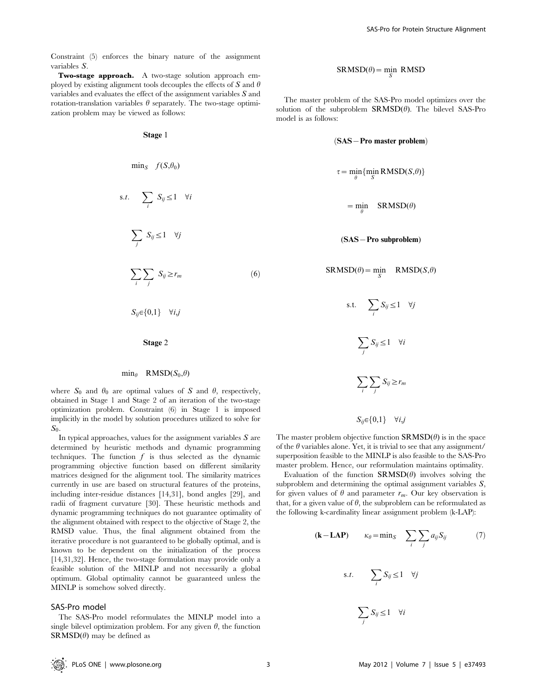Constraint (5) enforces the binary nature of the assignment variables S.

Two-stage approach. A two-stage solution approach employed by existing alignment tools decouples the effects of S and  $\theta$ variables and evaluates the effect of the assignment variables S and rotation-translation variables  $\theta$  separately. The two-stage optimization problem may be viewed as follows:

### Stage 1

$$
\min_{S} f(S, \theta_{0})
$$
\n
$$
s.t. \sum_{i} S_{ij} \leq 1 \quad \forall i
$$
\n
$$
\sum_{j} S_{ij} \leq 1 \quad \forall j
$$
\n
$$
\sum_{i} \sum_{j} S_{ij} \geq r_{m}
$$
\n
$$
S_{ij} \in \{0, 1\} \quad \forall i, j
$$
\n(6)

Stage 2

### $\min_{\theta}$  RMSD( $S_0, \theta$ )

where  $S_0$  and  $\theta_0$  are optimal values of S and  $\theta$ , respectively, obtained in Stage 1 and Stage 2 of an iteration of the two-stage optimization problem. Constraint (6) in Stage 1 is imposed implicitly in the model by solution procedures utilized to solve for  $S_0$ .

In typical approaches, values for the assignment variables  $S$  are determined by heuristic methods and dynamic programming techniques. The function  $f$  is thus selected as the dynamic programming objective function based on different similarity matrices designed for the alignment tool. The similarity matrices currently in use are based on structural features of the proteins, including inter-residue distances [14,31], bond angles [29], and radii of fragment curvature [30]. These heuristic methods and dynamic programming techniques do not guarantee optimality of the alignment obtained with respect to the objective of Stage 2, the RMSD value. Thus, the final alignment obtained from the iterative procedure is not guaranteed to be globally optimal, and is known to be dependent on the initialization of the process [14,31,32]. Hence, the two-stage formulation may provide only a feasible solution of the MINLP and not necessarily a global optimum. Global optimality cannot be guaranteed unless the MINLP is somehow solved directly.

### SAS-Pro model

The SAS-Pro model reformulates the MINLP model into a single bilevel optimization problem. For any given  $\theta$ , the function  $SRMSD(\theta)$  may be defined as

$$
SRMSD(\theta) = \min_{S} RMSD
$$

The master problem of the SAS-Pro model optimizes over the solution of the subproblem  $SRMSD(\theta)$ . The bilevel SAS-Pro model is as follows:

## $(SAS - Pro$  master problem)  $\tau = \min_{\theta} {\min_{S} \text{RMSD}(S, \theta)}$  $=$  min  $SRMSD(\theta)$ (SAS-Pro subproblem)  $SRMSD(\theta) = \min_{S}$  RMSD(S, $\theta$ ) s.t.  $\sum$ i  $S_{ij} \leq 1 \quad \forall j$  $\overline{ }$ j  $S_{ij} \leq 1 \quad \forall i$  $\overline{ }$ i  $\overline{ }$ j  $S_{ij} \geq r_m$  $S_{ij} \in \{0,1\}$   $\forall i,j$

The master problem objective function  $SRMSD(\theta)$  is in the space of the  $\theta$  variables alone. Yet, it is trivial to see that any assignment/ superposition feasible to the MINLP is also feasible to the SAS-Pro master problem. Hence, our reformulation maintains optimality.

Evaluation of the function  $SRMSD(\theta)$  involves solving the subproblem and determining the optimal assignment variables  $S$ , for given values of  $\theta$  and parameter  $r_m$ . Our key observation is that, for a given value of  $\theta$ , the subproblem can be reformulated as the following k-cardinality linear assignment problem (k-LAP):

$$
(\mathbf{k} - \mathbf{LAP}) \qquad \kappa_{\theta} = \min_{S} \quad \sum_{i} \sum_{j} a_{ij} S_{ij} \tag{7}
$$
  
s.t. 
$$
\sum_{i} S_{ij} \le 1 \quad \forall j
$$

$$
\sum_{j} S_{ij} \le 1 \quad \forall i
$$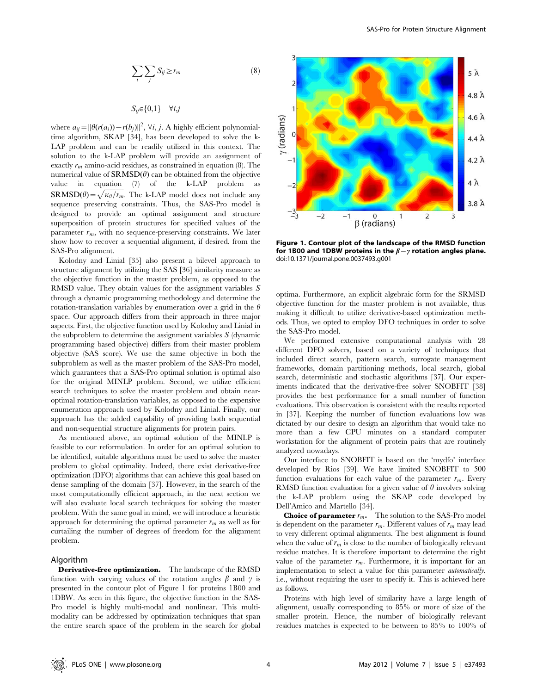$$
\sum_{i} \sum_{j} S_{ij} \ge r_m \tag{8}
$$

$$
S_{ij} \in \{0,1\} \quad \forall i,j
$$

where  $a_{ij} = ||\theta(r(a_i)) - r(b_j)||^2$ ,  $\forall i, j$ . A highly efficient polynomialtime algorithm, SKAP [34], has been developed to solve the k-LAP problem and can be readily utilized in this context. The solution to the k-LAP problem will provide an assignment of exactly  $r_m$  amino-acid residues, as constrained in equation (8). The numerical value of  $SRMSD(\theta)$  can be obtained from the objective value in equation (7) of the k-LAP problem as  $SRMSD(\theta) = \sqrt{\kappa_{\theta}/r_m}$ . The k-LAP model does not include any sequence preserving constraints. Thus, the SAS-Pro model is designed to provide an optimal assignment and structure superposition of protein structures for specified values of the parameter  $r_m$ , with no sequence-preserving constraints. We later show how to recover a sequential alignment, if desired, from the SAS-Pro alignment.

Kolodny and Linial [35] also present a bilevel approach to structure alignment by utilizing the SAS [36] similarity measure as the objective function in the master problem, as opposed to the RMSD value. They obtain values for the assignment variables S through a dynamic programming methodology and determine the rotation-translation variables by enumeration over a grid in the  $\theta$ space. Our approach differs from their approach in three major aspects. First, the objective function used by Kolodny and Linial in the subproblem to determine the assignment variables  $S$  (dynamic programming based objective) differs from their master problem objective (SAS score). We use the same objective in both the subproblem as well as the master problem of the SAS-Pro model, which guarantees that a SAS-Pro optimal solution is optimal also for the original MINLP problem. Second, we utilize efficient search techniques to solve the master problem and obtain nearoptimal rotation-translation variables, as opposed to the expensive enumeration approach used by Kolodny and Linial. Finally, our approach has the added capability of providing both sequential and non-sequential structure alignments for protein pairs.

As mentioned above, an optimal solution of the MINLP is feasible to our reformulation. In order for an optimal solution to be identified, suitable algorithms must be used to solve the master problem to global optimality. Indeed, there exist derivative-free optimization (DFO) algorithms that can achieve this goal based on dense sampling of the domain [37]. However, in the search of the most computationally efficient approach, in the next section we will also evaluate local search techniques for solving the master problem. With the same goal in mind, we will introduce a heuristic approach for determining the optimal parameter  $r_m$  as well as for curtailing the number of degrees of freedom for the alignment problem.

### Algorithm

Derivative-free optimization. The landscape of the RMSD function with varying values of the rotation angles  $\beta$  and  $\gamma$  is presented in the contour plot of Figure 1 for proteins 1B00 and 1DBW. As seen in this figure, the objective function in the SAS-Pro model is highly multi-modal and nonlinear. This multimodality can be addressed by optimization techniques that span the entire search space of the problem in the search for global



Figure 1. Contour plot of the landscape of the RMSD function for 1B00 and 1DBW proteins in the  $\beta-\gamma$  rotation angles plane. doi:10.1371/journal.pone.0037493.g001

optima. Furthermore, an explicit algebraic form for the SRMSD objective function for the master problem is not available, thus making it difficult to utilize derivative-based optimization methods. Thus, we opted to employ DFO techniques in order to solve the SAS-Pro model.

We performed extensive computational analysis with 28 different DFO solvers, based on a variety of techniques that included direct search, pattern search, surrogate management frameworks, domain partitioning methods, local search, global search, deterministic and stochastic algorithms [37]. Our experiments indicated that the derivative-free solver SNOBFIT [38] provides the best performance for a small number of function evaluations. This observation is consistent with the results reported in [37]. Keeping the number of function evaluations low was dictated by our desire to design an algorithm that would take no more than a few CPU minutes on a standard computer workstation for the alignment of protein pairs that are routinely analyzed nowadays.

Our interface to SNOBFIT is based on the 'mydfo' interface developed by Rios [39]. We have limited SNOBFIT to 500 function evaluations for each value of the parameter  $r_m$ . Every RMSD function evaluation for a given value of  $\theta$  involves solving the k-LAP problem using the SKAP code developed by Dell'Amico and Martello [34].

**Choice of parameter**  $r_m$ **.** The solution to the SAS-Pro model is dependent on the parameter  $r_m$ . Different values of  $r_m$  may lead to very different optimal alignments. The best alignment is found when the value of  $r_m$  is close to the number of biologically relevant residue matches. It is therefore important to determine the right value of the parameter  $r_m$ . Furthermore, it is important for an implementation to select a value for this parameter automatically, i.e., without requiring the user to specify it. This is achieved here as follows.

Proteins with high level of similarity have a large length of alignment, usually corresponding to 85% or more of size of the smaller protein. Hence, the number of biologically relevant residues matches is expected to be between to 85% to 100% of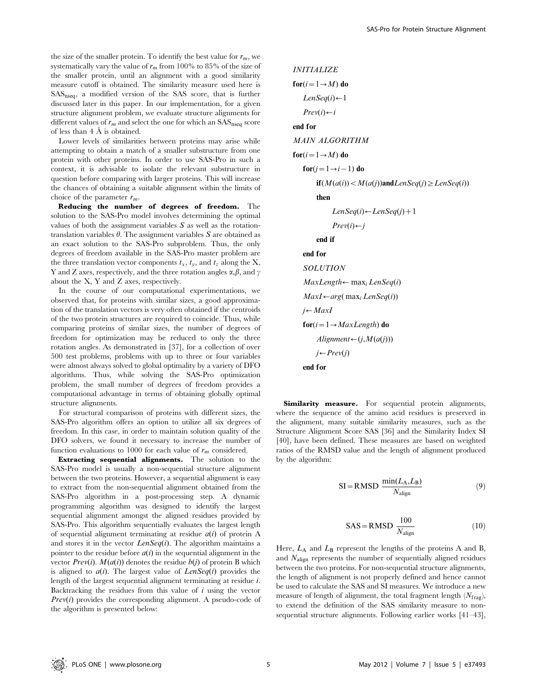the size of the smaller protein. To identify the best value for  $r_m$ , we systematically vary the value of  $r_m$  from 100% to 85% of the size of the smaller protein, until an alignment with a good similarity measure cutoff is obtained. The similarity measure used here is SAS<sub>nseq</sub>, a modified version of the SAS score, that is further discussed later in this paper. In our implementation, for a given structure alignment problem, we evaluate structure alignments for different values of  $r_m$  and select the one for which an  $SAS_{\text{nsea}}$  score of less than  $4 \text{ Å}$  is obtained.

Lower levels of similarities between proteins may arise while attempting to obtain a match of a smaller substructure from one protein with other proteins. In order to use SAS-Pro in such a context, it is advisable to isolate the relevant substructure in question before comparing with larger proteins. This will increase the chances of obtaining a suitable alignment within the limits of choice of the parameter  $r_m$ .

Reducing the number of degrees of freedom. The solution to the SAS-Pro model involves determining the optimal values of both the assignment variables  $S$  as well as the rotationtranslation variables  $\theta$ . The assignment variables  $S$  are obtained as an exact solution to the SAS-Pro subproblem. Thus, the only degrees of freedom available in the SAS-Pro master problem are the three translation vector components  $t_x$ ,  $t_y$ , and  $t_z$  along the X, Y and Z axes, respectively, and the three rotation angles  $\alpha, \beta$ , and  $\gamma$ about the X, Y and Z axes, respectively.

In the course of our computational experimentations, we observed that, for proteins with similar sizes, a good approximation of the translation vectors is very often obtained if the centroids of the two protein structures are required to coincide. Thus, while comparing proteins of similar sizes, the number of degrees of freedom for optimization may be reduced to only the three rotation angles. As demonstrated in [37], for a collection of over 500 test problems, problems with up to three or four variables were almost always solved to global optimality by a variety of DFO algorithms. Thus, while solving the SAS-Pro optimization problem, the small number of degrees of freedom provides a computational advantage in terms of obtaining globally optimal structure alignments.

For structural comparison of proteins with different sizes, the SAS-Pro algorithm offers an option to utilize all six degrees of freedom. In this case, in order to maintain solution quality of the DFO solvers, we found it necessary to increase the number of function evaluations to 1000 for each value of  $r_m$  considered.

Extracting sequential alignments. The solution to the SAS-Pro model is usually a non-sequential structure alignment between the two proteins. However, a sequential alignment is easy to extract from the non-sequential alignment obtained from the SAS-Pro algorithm in a post-processing step. A dynamic programming algorithm was designed to identify the largest sequential alignment amongst the aligned residues provided by SAS-Pro. This algorithm sequentially evaluates the largest length of sequential alignment terminating at residue  $a(i)$  of protein A and stores it in the vector  $LenSeq(i)$ . The algorithm maintains a pointer to the residue before  $a(i)$  in the sequential alignment in the vector  $Prev(i)$ .  $M(a(i))$  denotes the residue  $b(i)$  of protein B which is aligned to  $a(i)$ . The largest value of LenSeq $(i)$  provides the length of the largest sequential alignment terminating at residue i. Backtracking the residues from this value of  $i$  using the vector  $Prev(i)$  provides the corresponding alignment. A pseudo-code of the algorithm is presented below:

INITIALIZE for( $i=1 \rightarrow M$ ) do  $LenSeq(i) \leftarrow 1$  $Prev(i) \leftarrow i$ end for MAIN ALGORITHM for( $i=1 \rightarrow M$ ) do for( $i=1 \rightarrow i-1$ ) do  $if(M(a(i)) < M(a(i))$ andLenSeq(j) $\geq LenSeq(i)$ then  $LenSeq(i) \leftarrow LenSeq(j)+1$  $Prev(i) \leftarrow j$ end if end for **SOLUTION**  $MaxLength \leftarrow max_i LenSeq(i)$  $MaxI \leftarrow arg(max_i LenSeq(i))$  $j \leftarrow MaxI$  **do**  $A$ lignment $\leftarrow (j, M(a(j)))$  $j \leftarrow \text{Prev}(j)$ end for

Similarity measure. For sequential protein alignments, where the sequence of the amino acid residues is preserved in the alignment, many suitable similarity measures, such as the Structure Alignment Score SAS [36] and the Similarity Index SI [40], have been defined. These measures are based on weighted ratios of the RMSD value and the length of alignment produced by the algorithm:

SI=RMSD 
$$
\frac{\min(L_A, L_B)}{N_{\text{align}}}
$$
 (9)

$$
SAS = RMSD \frac{100}{N_{\text{align}}}
$$
 (10)

Here,  $L_A$  and  $L_B$  represent the lengths of the proteins A and B, and  $N_{\text{align}}$  represents the number of sequentially aligned residues between the two proteins. For non-sequential structure alignments, the length of alignment is not properly defined and hence cannot be used to calculate the SAS and SI measures. We introduce a new measure of length of alignment, the total fragment length  $(N_{\text{frag}})$ , to extend the definition of the SAS similarity measure to nonsequential structure alignments. Following earlier works [41–43],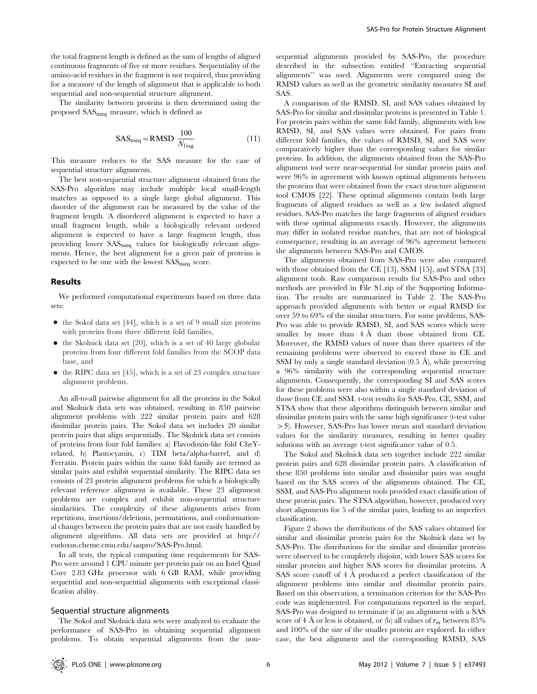the total fragment length is defined as the sum of lengths of aligned continuous fragments of five or more residues. Sequentiality of the amino-acid residues in the fragment is not required, thus providing for a measure of the length of alignment that is applicable to both sequential and non-sequential structure alignment.

The similarity between proteins is then determined using the proposed SASnseq measure, which is defined as

$$
SAS_{\text{nseq}} = \text{RMSD} \frac{100}{N_{\text{frag}}} \tag{11}
$$

This measure reduces to the SAS measure for the case of sequential structure alignments.

The best non-sequential structure alignment obtained from the SAS-Pro algorithm may include multiple local small-length matches as opposed to a single large global alignment. This disorder of the alignment can be measured by the value of the fragment length. A disordered alignment is expected to have a small fragment length, while a biologically relevant ordered alignment is expected to have a large fragment length, thus providing lower  $SAS_{nseq}$  values for biologically relevant alignments. Hence, the best alignment for a given pair of proteins is expected to be one with the lowest  $SAS_{nseq}$  score.

### Results

We performed computational experiments based on three data sets:

- $\bullet$  the Sokol data set [44], which is a set of 9 small size proteins with proteins from three different fold families,
- $\bullet$  the Skolnick data set [20], which is a set of 40 large globular proteins from four different fold families from the SCOP data base, and
- $\bullet$  the RIPC data set [45], which is a set of 23 complex structure alignment problems.

An all-to-all pairwise alignment for all the proteins in the Sokol and Skolnick data sets was obtained, resulting in 850 pairwise alignment problems with 222 similar protein pairs and 628 dissimilar protein pairs. The Sokol data set includes 20 similar protein pairs that align sequentially. The Skolnick data set consists of proteins from four fold families: a) Flavodoxin-like fold CheYrelated, b) Plastocyanin, c) TIM beta/alpha-barrel, and d) Ferratin. Protein pairs within the same fold family are termed as similar pairs and exhibit sequential similarity. The RIPC data set consists of 23 protein alignment problems for which a biologically relevant reference alignment is available. These 23 alignment problems are complex and exhibit non-sequential structure similarities. The complexity of these alignments arises from repetitions, insertions/deletions, permutations, and conformational changes between the protein pairs that are not easily handled by alignment algorithms. All data sets are provided at http:// eudoxus.cheme.cmu.edu/saspro/SAS-Pro.html.

In all tests, the typical computing time requirements for SAS-Pro were around 1 CPU minute per protein pair on an Intel Quad Core 2.83 GHz processor with 6 GB RAM, while providing sequential and non-sequential alignments with exceptional classification ability.

### Sequential structure alignments

The Sokol and Skolnick data sets were analyzed to evaluate the performance of SAS-Pro in obtaining sequential alignment problems. To obtain sequential alignments from the nonsequential alignments provided by SAS-Pro, the procedure described in the subsection entitled ''Extracting sequential alignments'' was used. Alignments were compared using the RMSD values as well as the geometric similarity measures SI and SAS.

A comparison of the RMSD, SI, and SAS values obtained by SAS-Pro for similar and dissimilar proteins is presented in Table 1. For protein pairs within the same fold family, alignments with low RMSD, SI, and SAS values were obtained. For pairs from different fold families, the values of RMSD, SI, and SAS were comparatively higher than the corresponding values for similar proteins. In addition, the alignments obtained from the SAS-Pro alignment tool were near-sequential for similar protein pairs and were 96% in agreement with known optimal alignments between the proteins that were obtained from the exact structure alignment tool CMOS [22]. These optimal alignments contain both large fragments of aligned residues as well as a few isolated aligned residues. SAS-Pro matches the large fragments of aligned residues with these optimal alignments exactly. However, the alignments may differ in isolated residue matches, that are not of biological consequence, resulting in an average of 96% agreement between the alignments between SAS-Pro and CMOS.

The alignments obtained from SAS-Pro were also compared with those obtained from the CE [13], SSM [15], and STSA [33] alignment tools. Raw comparison results for SAS-Pro and other methods are provided in File S1.zip of the Supporting Information. The results are summarized in Table 2. The SAS-Pro approach provided alignments with better or equal RMSD for over 59 to 69% of the similar structures. For some problems, SAS-Pro was able to provide RMSD, SI, and SAS scores which were smaller by more than  $4 \text{ Å}$  than those obtained from CE. Moreover, the RMSD values of more than three quarters of the remaining problems were observed to exceed those in CE and SSM by only a single standard deviation  $(0.5 \text{ Å})$ , while preserving a 96% similarity with the corresponding sequential structure alignments. Consequently, the corresponding SI and SAS scores for these problems were also within a single standard deviation of those from CE and SSM. t-test results for SAS-Pro, CE, SSM, and STSA show that these algorithms distinguish between similar and dissimilar protein pairs with the same high significance (t-test value  $>$  5). However, SAS-Pro has lower mean and standard deviation values for the similarity measures, resulting in better quality solutions with an average t-test significance value of 0.5.

The Sokol and Skolnick data sets together include 222 similar protein pairs and 628 dissimilar protein pairs. A classification of these 850 problems into similar and dissimilar pairs was sought based on the SAS scores of the alignments obtained. The CE, SSM, and SAS-Pro alignment tools provided exact classification of these protein pairs. The STSA algorithm, however, produced very short alignments for 5 of the similar pairs, leading to an imperfect classification.

Figure 2 shows the distributions of the SAS values obtained for similar and dissimilar protein pairs for the Skolnick data set by SAS-Pro. The distributions for the similar and dissimilar proteins were observed to be completely disjoint, with lower SAS scores for similar proteins and higher SAS scores for dissimilar proteins. A SAS score cutoff of 4 Å produced a perfect classification of the alignment problems into similar and dissimilar protein pairs. Based on this observation, a termination criterion for the SAS-Pro code was implemented. For computations reported in the sequel, SAS-Pro was designed to terminate if (a) an alignment with a SAS score of 4 Å or less is obtained, or (b) all values of  $r_m$  between 85% and 100% of the size of the smaller protein are explored. In either case, the best alignment and the corresponding RMSD, SAS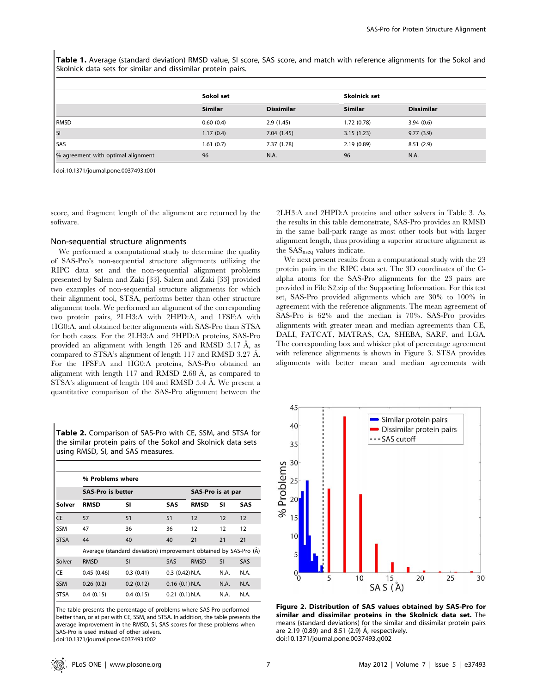Table 1. Average (standard deviation) RMSD value, SI score, SAS score, and match with reference alignments for the Sokol and Skolnick data sets for similar and dissimilar protein pairs.

|                                    | Sokol set      |                   | <b>Skolnick set</b> |                   |
|------------------------------------|----------------|-------------------|---------------------|-------------------|
|                                    | <b>Similar</b> | <b>Dissimilar</b> | <b>Similar</b>      | <b>Dissimilar</b> |
| RMSD                               | 0.60(0.4)      | 2.9(1.45)         | 1.72(0.78)          | 3.94(0.6)         |
| I <sub>SI</sub>                    | 1.17(0.4)      | 7.04(1.45)        | 3.15(1.23)          | 9.77(3.9)         |
| <b>SAS</b>                         | 1.61(0.7)      | 7.37 (1.78)       | 2.19(0.89)          | 8.51(2.9)         |
| % agreement with optimal alignment | 96             | N.A.              | 96                  | N.A.              |

doi:10.1371/journal.pone.0037493.t001

score, and fragment length of the alignment are returned by the software.

### Non-sequential structure alignments

We performed a computational study to determine the quality of SAS-Pro's non-sequential structure alignments utilizing the RIPC data set and the non-sequential alignment problems presented by Salem and Zaki [33]. Salem and Zaki [33] provided two examples of non-sequential structure alignments for which their alignment tool, STSA, performs better than other structure alignment tools. We performed an alignment of the corresponding two protein pairs, 2LH3:A with 2HPD:A, and 1FSF:A with 1IG0:A, and obtained better alignments with SAS-Pro than STSA for both cases. For the 2LH3:A and 2HPD:A proteins, SAS-Pro provided an alignment with length  $126$  and RMSD  $3.17$  Å, as compared to STSA's alignment of length 117 and RMSD 3.27 Å. For the 1FSF:A and 1IG0:A proteins, SAS-Pro obtained an alignment with length  $117$  and RMSD 2.68 Å, as compared to STSA's alignment of length 104 and RMSD 5.4 Å. We present a quantitative comparison of the SAS-Pro alignment between the

2LH3:A and 2HPD:A proteins and other solvers in Table 3. As the results in this table demonstrate, SAS-Pro provides an RMSD in the same ball-park range as most other tools but with larger alignment length, thus providing a superior structure alignment as the SASnseq values indicate.

We next present results from a computational study with the 23 protein pairs in the RIPC data set. The 3D coordinates of the Calpha atoms for the SAS-Pro alignments for the 23 pairs are provided in File S2.zip of the Supporting Information. For this test set, SAS-Pro provided alignments which are 30% to 100% in agreement with the reference alignments. The mean agreement of SAS-Pro is 62% and the median is 70%. SAS-Pro provides alignments with greater mean and median agreements than CE, DALI, FATCAT, MATRAS, CA, SHEBA, SARF, and LGA. The corresponding box and whisker plot of percentage agreement with reference alignments is shown in Figure 3. STSA provides alignments with better mean and median agreements with

|             | % Problems where                                                 |                          |                   |             |               |      |  |  |
|-------------|------------------------------------------------------------------|--------------------------|-------------------|-------------|---------------|------|--|--|
|             | <b>SAS-Pro is better</b>                                         | <b>SAS-Pro is at par</b> |                   |             |               |      |  |  |
| Solver      | <b>RMSD</b>                                                      | SI                       | SAS               | <b>RMSD</b> | SI            | SAS  |  |  |
| <b>CE</b>   | 57                                                               | 51                       | 51                | 12          | 12            | 12   |  |  |
| <b>SSM</b>  | 47                                                               | 36                       | 36                | 12          | 12            | 12   |  |  |
| <b>STSA</b> | 44                                                               | 40                       | 40                | 21          | 21            | 21   |  |  |
|             | Average (standard deviation) improvement obtained by SAS-Pro (A) |                          |                   |             |               |      |  |  |
| Solver      | <b>RMSD</b>                                                      | <b>SI</b>                | SAS               | <b>RMSD</b> | <sup>SI</sup> | SAS  |  |  |
| CE          | 0.45(0.46)                                                       | 0.3(0.41)                | $0.3$ (0.42) N.A. |             | N.A.          | N.A. |  |  |
| <b>SSM</b>  | 0.26(0.2)                                                        | 0.2(0.12)                | $0.16$ (0.1) N.A. |             | N.A.          | N.A. |  |  |
| <b>STSA</b> | 0.4(0.15)                                                        | 0.4(0.15)                | 0.21(0.1) N.A.    |             | N.A.          | N.A. |  |  |

Table 2. Comparison of SAS-Pro with CE, SSM, and STSA for the similar protein pairs of the Sokol and Skolnick data sets

The table presents the percentage of problems where SAS-Pro performed better than, or at par with CE, SSM, and STSA. In addition, the table presents the average improvement in the RMSD, SI, SAS scores for these problems when SAS-Pro is used instead of other solvers.

doi:10.1371/journal.pone.0037493.t002



Figure 2. Distribution of SAS values obtained by SAS-Pro for similar and dissimilar proteins in the Skolnick data set. The means (standard deviations) for the similar and dissimilar protein pairs are 2.19 (0.89) and 8.51 (2.9) Å, respectively. doi:10.1371/journal.pone.0037493.g002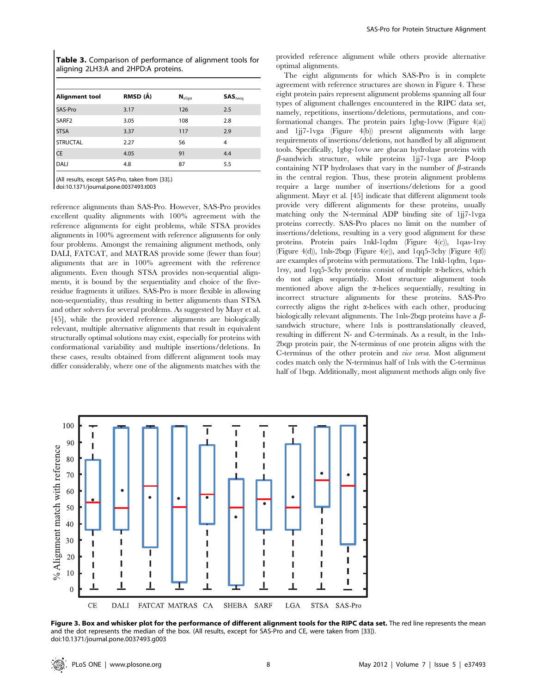Table 3. Comparison of performance of alignment tools for aligning 2LH3:A and 2HPD:A proteins.

| <b>Alignment tool</b> | RMSD (Å) | $N_{\text{align}}$ | $SAS_{nseq}$ |
|-----------------------|----------|--------------------|--------------|
| SAS-Pro               | 3.17     | 126                | 2.5          |
| SARF2                 | 3.05     | 108                | 2.8          |
| <b>STSA</b>           | 3.37     | 117                | 2.9          |
| <b>STRUCTAL</b>       | 2.27     | 56                 | 4            |
| <b>CE</b>             | 4.05     | 91                 | 4.4          |
| DALI                  | 4.8      | 87                 | 5.5          |

(All results, except SAS-Pro, taken from [33].) doi:10.1371/journal.pone.0037493.t003

reference alignments than SAS-Pro. However, SAS-Pro provides excellent quality alignments with 100% agreement with the reference alignments for eight problems, while STSA provides alignments in 100% agreement with reference alignments for only four problems. Amongst the remaining alignment methods, only DALI, FATCAT, and MATRAS provide some (fewer than four) alignments that are in 100% agreement with the reference alignments. Even though STSA provides non-sequential alignments, it is bound by the sequentiality and choice of the fiveresidue fragments it utilizes. SAS-Pro is more flexible in allowing non-sequentiality, thus resulting in better alignments than STSA and other solvers for several problems. As suggested by Mayr et al. [45], while the provided reference alignments are biologically relevant, multiple alternative alignments that result in equivalent structurally optimal solutions may exist, especially for proteins with conformational variability and multiple insertions/deletions. In these cases, results obtained from different alignment tools may differ considerably, where one of the alignments matches with the

provided reference alignment while others provide alternative optimal alignments.

The eight alignments for which SAS-Pro is in complete agreement with reference structures are shown in Figure 4. These eight protein pairs represent alignment problems spanning all four types of alignment challenges encountered in the RIPC data set, namely, repetitions, insertions/deletions, permutations, and conformational changes. The protein pairs 1gbg-1ovw (Figure 4(a)) and 1jj7-1vga (Figure 4(b)) present alignments with large requirements of insertions/deletions, not handled by all alignment tools. Specifically, 1gbg-1ovw are glucan hydrolase proteins with  $\beta$ -sandwich structure, while proteins 1jj7-1vga are P-loop containing NTP hydrolases that vary in the number of  $\beta$ -strands in the central region. Thus, these protein alignment problems require a large number of insertions/deletions for a good alignment. Mayr et al. [45] indicate that different alignment tools provide very different alignments for these proteins, usually matching only the N-terminal ADP binding site of 1jj7-1vga proteins correctly. SAS-Pro places no limit on the number of insertions/deletions, resulting in a very good alignment for these proteins. Protein pairs 1nkl-1qdm (Figure 4(c)), 1qas-1rsy (Figure 4(d)), 1nls-2bqp (Figure 4(e)), and 1qq5-3chy (Figure 4(f)) are examples of proteins with permutations. The 1nkl-1qdm, 1qas-1rsy, and 1qq5-3chy proteins consist of multiple a-helices, which do not align sequentially. Most structure alignment tools mentioned above align the  $\alpha$ -helices sequentially, resulting in incorrect structure alignments for these proteins. SAS-Pro correctly aligns the right  $\alpha$ -helices with each other, producing biologically relevant alignments. The 1nls-2bqp proteins have a  $\beta$ sandwich structure, where 1nls is posttranslationally cleaved, resulting in different N- and C-terminals. As a result, in the 1nls-2bqp protein pair, the N-terminus of one protein aligns with the C-terminus of the other protein and vice versa. Most alignment codes match only the N-terminus half of 1nls with the C-terminus half of 1bqp. Additionally, most alignment methods align only five



Figure 3. Box and whisker plot for the performance of different alignment tools for the RIPC data set. The red line represents the mean and the dot represents the median of the box. (All results, except for SAS-Pro and CE, were taken from [33]). doi:10.1371/journal.pone.0037493.g003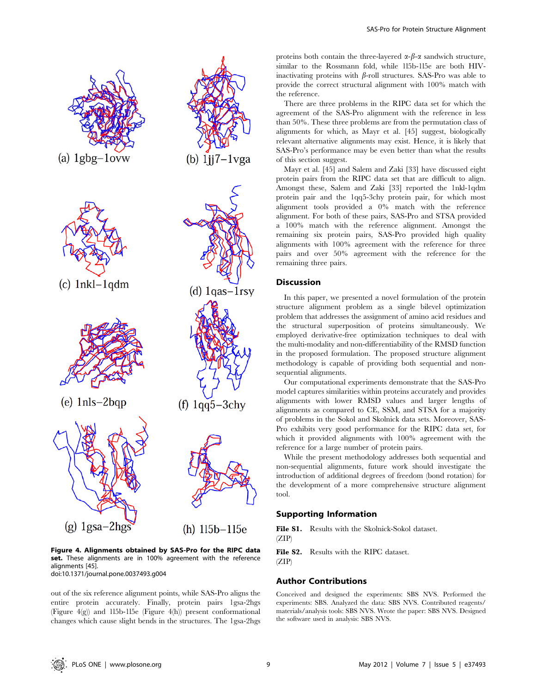



 $(c)$  1nkl-1qdm



 $(e)$  1nls $-2$ bqp



Figure 4. Alignments obtained by SAS-Pro for the RIPC data set. These alignments are in 100% agreement with the reference alignments [45]. doi:10.1371/journal.pone.0037493.g004

out of the six reference alignment points, while SAS-Pro aligns the entire protein accurately. Finally, protein pairs 1gsa-2hgs (Figure 4(g)) and 1l5b-1l5e (Figure 4(h)) present conformational changes which cause slight bends in the structures. The 1gsa-2hgs proteins both contain the three-layered  $\alpha$ - $\beta$ - $\alpha$  sandwich structure, similar to the Rossmann fold, while 1l5b-1l5e are both HIVinactivating proteins with  $\beta$ -roll structures. SAS-Pro was able to provide the correct structural alignment with 100% match with the reference.

There are three problems in the RIPC data set for which the agreement of the SAS-Pro alignment with the reference in less than 50%. These three problems are from the permutation class of alignments for which, as Mayr et al. [45] suggest, biologically relevant alternative alignments may exist. Hence, it is likely that SAS-Pro's performance may be even better than what the results of this section suggest.

Mayr et al. [45] and Salem and Zaki [33] have discussed eight protein pairs from the RIPC data set that are difficult to align. Amongst these, Salem and Zaki [33] reported the 1nkl-1qdm protein pair and the 1qq5-3chy protein pair, for which most alignment tools provided a 0% match with the reference alignment. For both of these pairs, SAS-Pro and STSA provided a 100% match with the reference alignment. Amongst the remaining six protein pairs, SAS-Pro provided high quality alignments with 100% agreement with the reference for three pairs and over 50% agreement with the reference for the remaining three pairs.

### **Discussion**

 $1ii7-1vga$ 

(d)  $1$ qas $-1$ rsy

 $(f)$  1qq5-3chy

(b)

In this paper, we presented a novel formulation of the protein structure alignment problem as a single bilevel optimization problem that addresses the assignment of amino acid residues and the structural superposition of proteins simultaneously. We employed derivative-free optimization techniques to deal with the multi-modality and non-differentiability of the RMSD function in the proposed formulation. The proposed structure alignment methodology is capable of providing both sequential and nonsequential alignments.

Our computational experiments demonstrate that the SAS-Pro model captures similarities within proteins accurately and provides alignments with lower RMSD values and larger lengths of alignments as compared to CE, SSM, and STSA for a majority of problems in the Sokol and Skolnick data sets. Moreover, SAS-Pro exhibits very good performance for the RIPC data set, for which it provided alignments with 100% agreement with the reference for a large number of protein pairs.

While the present methodology addresses both sequential and non-sequential alignments, future work should investigate the introduction of additional degrees of freedom (bond rotation) for the development of a more comprehensive structure alignment tool.

### Supporting Information

File S1. Results with the Skolnick-Sokol dataset.  $(ZIP)$ 

File S2. Results with the RIPC dataset.  $(ZIP)$ 

### Author Contributions

Conceived and designed the experiments: SBS NVS. Performed the experiments: SBS. Analyzed the data: SBS NVS. Contributed reagents/ materials/analysis tools: SBS NVS. Wrote the paper: SBS NVS. Designed the software used in analysis: SBS NVS.